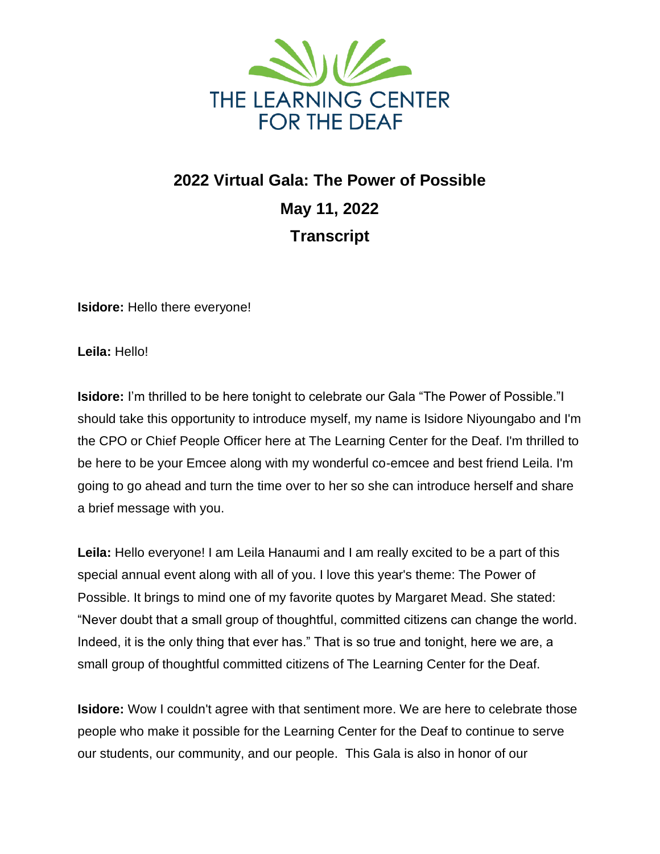

## **2022 Virtual Gala: The Power of Possible May 11, 2022 Transcript**

**Isidore:** Hello there everyone!

**Leila:** Hello!

**Isidore:** I'm thrilled to be here tonight to celebrate our Gala "The Power of Possible."I should take this opportunity to introduce myself, my name is Isidore Niyoungabo and I'm the CPO or Chief People Officer here at The Learning Center for the Deaf. I'm thrilled to be here to be your Emcee along with my wonderful co-emcee and best friend Leila. I'm going to go ahead and turn the time over to her so she can introduce herself and share a brief message with you.

**Leila:** Hello everyone! I am Leila Hanaumi and I am really excited to be a part of this special annual event along with all of you. I love this year's theme: The Power of Possible. It brings to mind one of my favorite quotes by Margaret Mead. She stated: "Never doubt that a small group of thoughtful, committed citizens can change the world. Indeed, it is the only thing that ever has." That is so true and tonight, here we are, a small group of thoughtful committed citizens of The Learning Center for the Deaf.

**Isidore:** Wow I couldn't agree with that sentiment more. We are here to celebrate those people who make it possible for the Learning Center for the Deaf to continue to serve our students, our community, and our people. This Gala is also in honor of our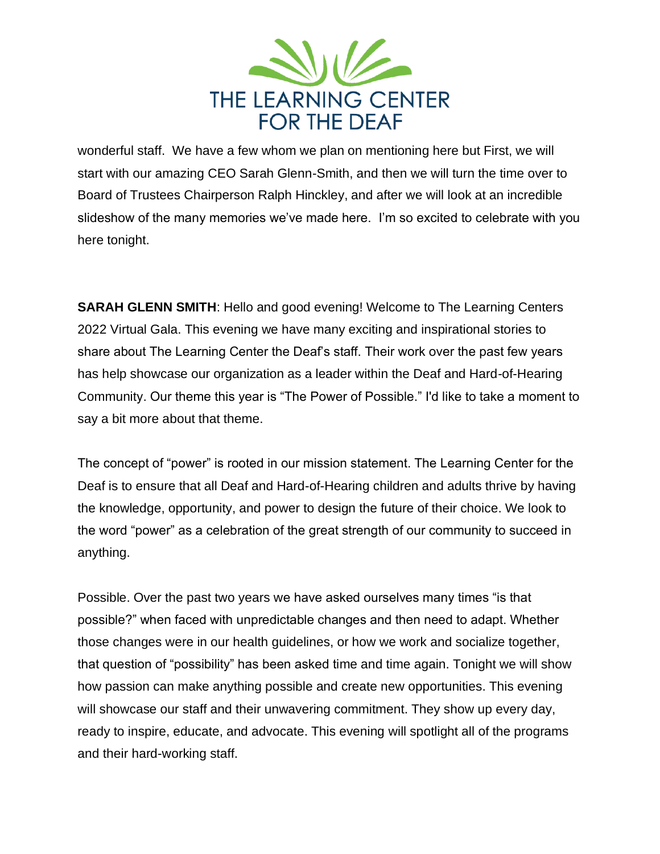

wonderful staff. We have a few whom we plan on mentioning here but First, we will start with our amazing CEO Sarah Glenn-Smith, and then we will turn the time over to Board of Trustees Chairperson Ralph Hinckley, and after we will look at an incredible slideshow of the many memories we've made here. I'm so excited to celebrate with you here tonight.

**SARAH GLENN SMITH**: Hello and good evening! Welcome to The Learning Centers 2022 Virtual Gala. This evening we have many exciting and inspirational stories to share about The Learning Center the Deaf's staff. Their work over the past few years has help showcase our organization as a leader within the Deaf and Hard-of-Hearing Community. Our theme this year is "The Power of Possible." I'd like to take a moment to say a bit more about that theme.

The concept of "power" is rooted in our mission statement. The Learning Center for the Deaf is to ensure that all Deaf and Hard-of-Hearing children and adults thrive by having the knowledge, opportunity, and power to design the future of their choice. We look to the word "power" as a celebration of the great strength of our community to succeed in anything.

Possible. Over the past two years we have asked ourselves many times "is that possible?" when faced with unpredictable changes and then need to adapt. Whether those changes were in our health guidelines, or how we work and socialize together, that question of "possibility" has been asked time and time again. Tonight we will show how passion can make anything possible and create new opportunities. This evening will showcase our staff and their unwavering commitment. They show up every day, ready to inspire, educate, and advocate. This evening will spotlight all of the programs and their hard-working staff.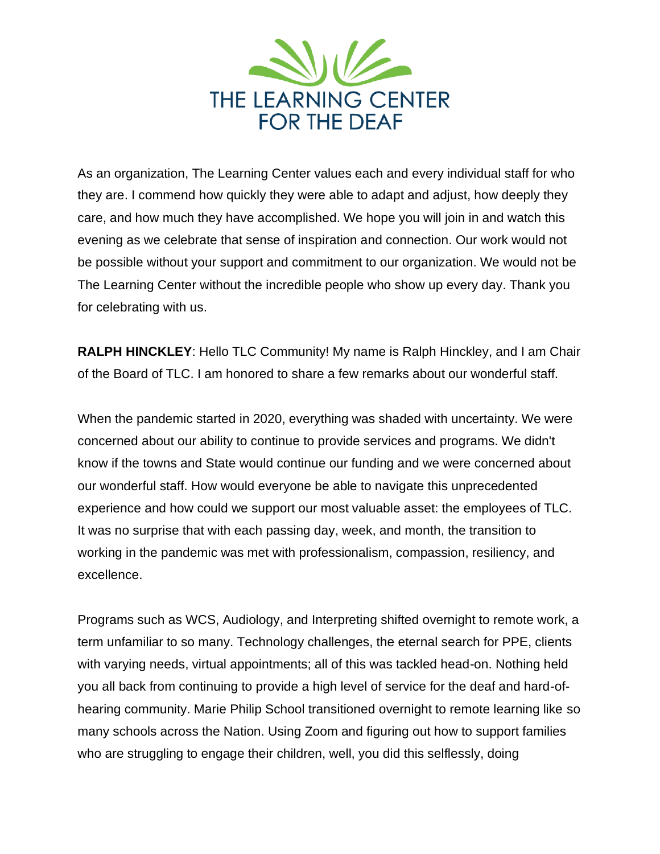

As an organization, The Learning Center values each and every individual staff for who they are. I commend how quickly they were able to adapt and adjust, how deeply they care, and how much they have accomplished. We hope you will join in and watch this evening as we celebrate that sense of inspiration and connection. Our work would not be possible without your support and commitment to our organization. We would not be The Learning Center without the incredible people who show up every day. Thank you for celebrating with us.

**RALPH HINCKLEY**: Hello TLC Community! My name is Ralph Hinckley, and I am Chair of the Board of TLC. I am honored to share a few remarks about our wonderful staff.

When the pandemic started in 2020, everything was shaded with uncertainty. We were concerned about our ability to continue to provide services and programs. We didn't know if the towns and State would continue our funding and we were concerned about our wonderful staff. How would everyone be able to navigate this unprecedented experience and how could we support our most valuable asset: the employees of TLC. It was no surprise that with each passing day, week, and month, the transition to working in the pandemic was met with professionalism, compassion, resiliency, and excellence.

Programs such as WCS, Audiology, and Interpreting shifted overnight to remote work, a term unfamiliar to so many. Technology challenges, the eternal search for PPE, clients with varying needs, virtual appointments; all of this was tackled head-on. Nothing held you all back from continuing to provide a high level of service for the deaf and hard-ofhearing community. Marie Philip School transitioned overnight to remote learning like so many schools across the Nation. Using Zoom and figuring out how to support families who are struggling to engage their children, well, you did this selflessly, doing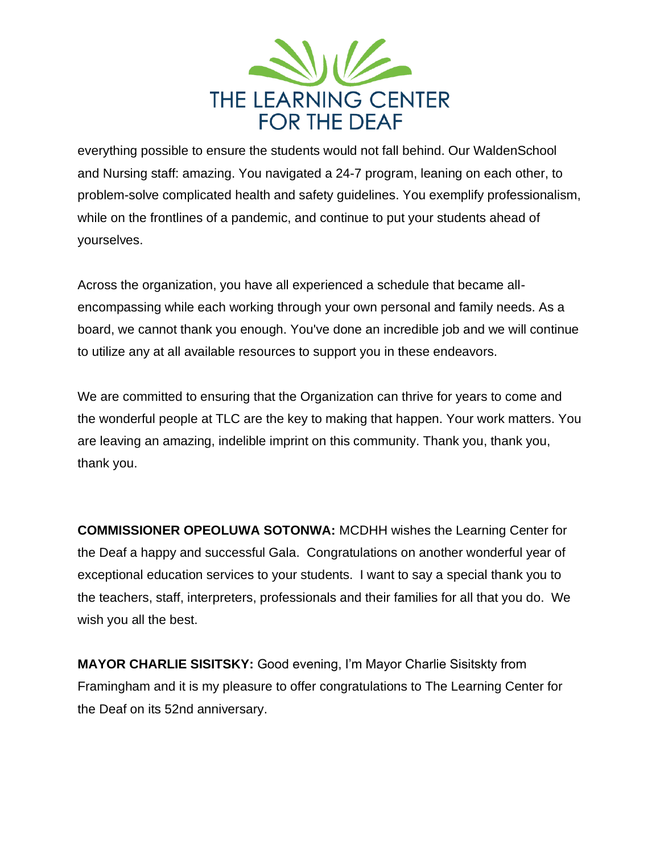

everything possible to ensure the students would not fall behind. Our WaldenSchool and Nursing staff: amazing. You navigated a 24-7 program, leaning on each other, to problem-solve complicated health and safety guidelines. You exemplify professionalism, while on the frontlines of a pandemic, and continue to put your students ahead of yourselves.

Across the organization, you have all experienced a schedule that became allencompassing while each working through your own personal and family needs. As a board, we cannot thank you enough. You've done an incredible job and we will continue to utilize any at all available resources to support you in these endeavors.

We are committed to ensuring that the Organization can thrive for years to come and the wonderful people at TLC are the key to making that happen. Your work matters. You are leaving an amazing, indelible imprint on this community. Thank you, thank you, thank you.

**COMMISSIONER OPEOLUWA SOTONWA:** MCDHH wishes the Learning Center for the Deaf a happy and successful Gala. Congratulations on another wonderful year of exceptional education services to your students. I want to say a special thank you to the teachers, staff, interpreters, professionals and their families for all that you do. We wish you all the best.

**MAYOR CHARLIE SISITSKY:** Good evening, I'm Mayor Charlie Sisitskty from Framingham and it is my pleasure to offer congratulations to The Learning Center for the Deaf on its 52nd anniversary.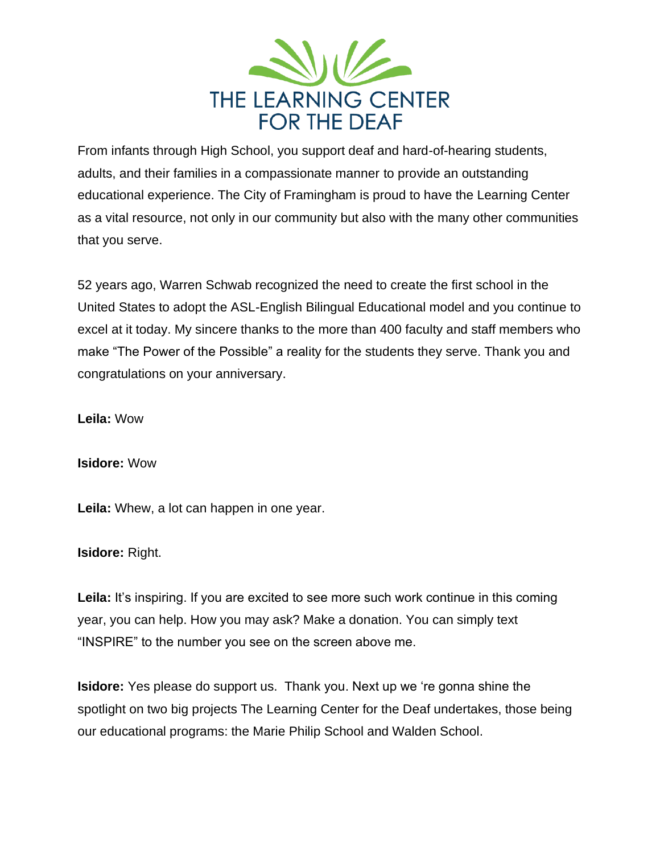

From infants through High School, you support deaf and hard-of-hearing students, adults, and their families in a compassionate manner to provide an outstanding educational experience. The City of Framingham is proud to have the Learning Center as a vital resource, not only in our community but also with the many other communities that you serve.

52 years ago, Warren Schwab recognized the need to create the first school in the United States to adopt the ASL-English Bilingual Educational model and you continue to excel at it today. My sincere thanks to the more than 400 faculty and staff members who make "The Power of the Possible" a reality for the students they serve. Thank you and congratulations on your anniversary.

**Leila:** Wow

**Isidore:** Wow

**Leila:** Whew, a lot can happen in one year.

**Isidore:** Right.

Leila: It's inspiring. If you are excited to see more such work continue in this coming year, you can help. How you may ask? Make a donation. You can simply text "INSPIRE" to the number you see on the screen above me.

**Isidore:** Yes please do support us. Thank you. Next up we 're gonna shine the spotlight on two big projects The Learning Center for the Deaf undertakes, those being our educational programs: the Marie Philip School and Walden School.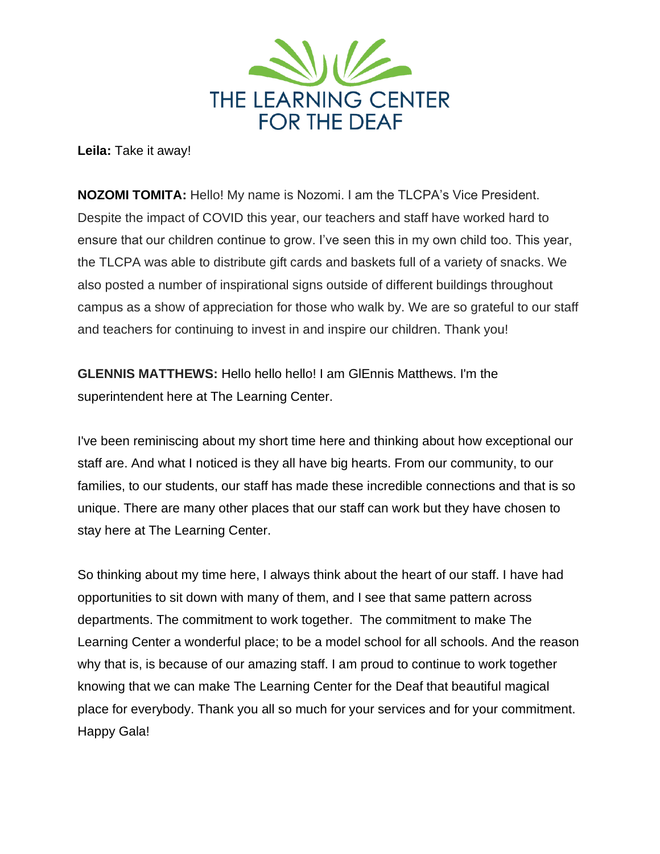

**Leila:** Take it away!

**NOZOMI TOMITA:** Hello! My name is Nozomi. I am the TLCPA's Vice President. Despite the impact of COVID this year, our teachers and staff have worked hard to ensure that our children continue to grow. I've seen this in my own child too. This year, the TLCPA was able to distribute gift cards and baskets full of a variety of snacks. We also posted a number of inspirational signs outside of different buildings throughout campus as a show of appreciation for those who walk by. We are so grateful to our staff and teachers for continuing to invest in and inspire our children. Thank you!

**GLENNIS MATTHEWS:** Hello hello hello! I am GlEnnis Matthews. I'm the superintendent here at The Learning Center.

I've been reminiscing about my short time here and thinking about how exceptional our staff are. And what I noticed is they all have big hearts. From our community, to our families, to our students, our staff has made these incredible connections and that is so unique. There are many other places that our staff can work but they have chosen to stay here at The Learning Center.

So thinking about my time here, I always think about the heart of our staff. I have had opportunities to sit down with many of them, and I see that same pattern across departments. The commitment to work together. The commitment to make The Learning Center a wonderful place; to be a model school for all schools. And the reason why that is, is because of our amazing staff. I am proud to continue to work together knowing that we can make The Learning Center for the Deaf that beautiful magical place for everybody. Thank you all so much for your services and for your commitment. Happy Gala!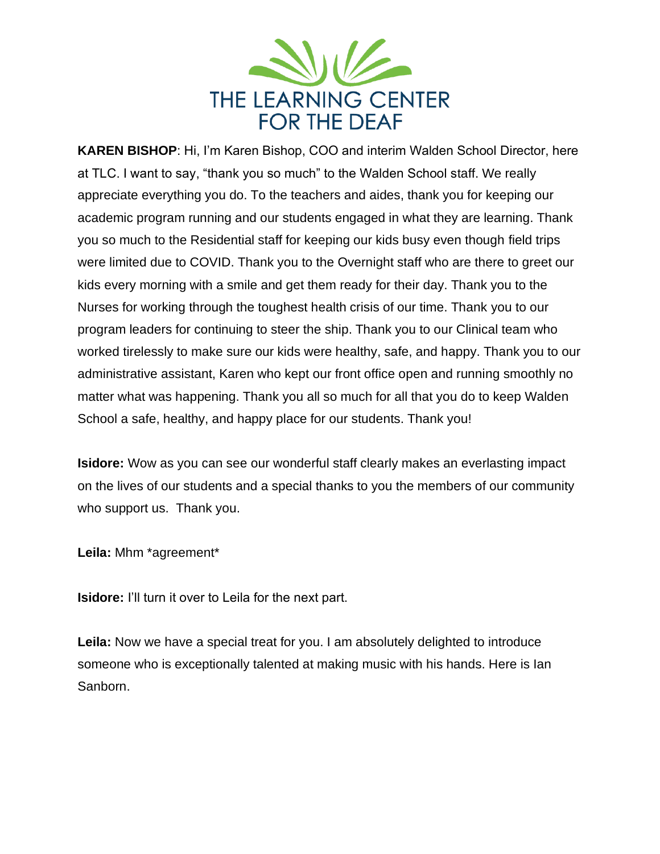

**KAREN BISHOP**: Hi, I'm Karen Bishop, COO and interim Walden School Director, here at TLC. I want to say, "thank you so much" to the Walden School staff. We really appreciate everything you do. To the teachers and aides, thank you for keeping our academic program running and our students engaged in what they are learning. Thank you so much to the Residential staff for keeping our kids busy even though field trips were limited due to COVID. Thank you to the Overnight staff who are there to greet our kids every morning with a smile and get them ready for their day. Thank you to the Nurses for working through the toughest health crisis of our time. Thank you to our program leaders for continuing to steer the ship. Thank you to our Clinical team who worked tirelessly to make sure our kids were healthy, safe, and happy. Thank you to our administrative assistant, Karen who kept our front office open and running smoothly no matter what was happening. Thank you all so much for all that you do to keep Walden School a safe, healthy, and happy place for our students. Thank you!

**Isidore:** Wow as you can see our wonderful staff clearly makes an everlasting impact on the lives of our students and a special thanks to you the members of our community who support us. Thank you.

**Leila:** Mhm \*agreement\*

**Isidore:** I'll turn it over to Leila for the next part.

**Leila:** Now we have a special treat for you. I am absolutely delighted to introduce someone who is exceptionally talented at making music with his hands. Here is Ian Sanborn.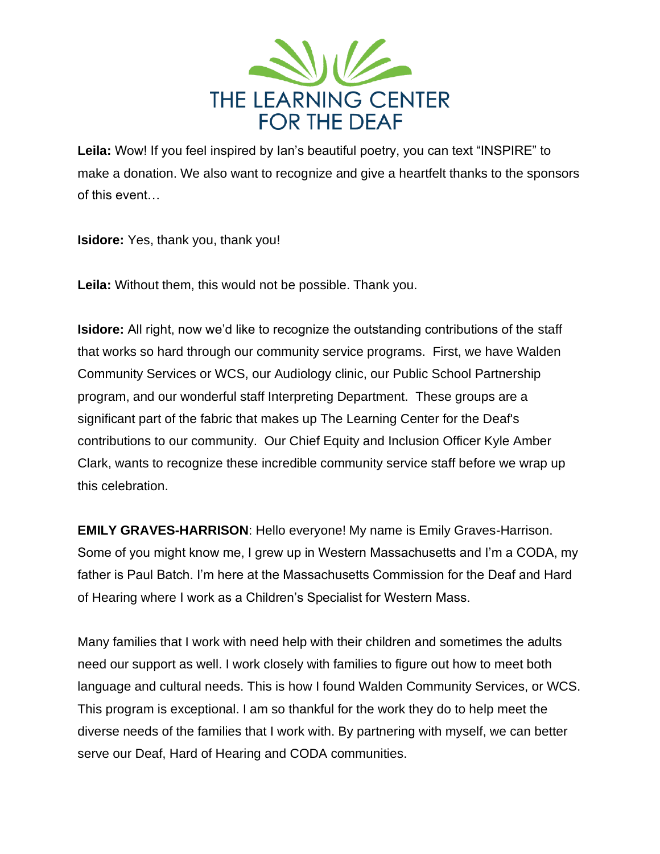

**Leila:** Wow! If you feel inspired by Ian's beautiful poetry, you can text "INSPIRE" to make a donation. We also want to recognize and give a heartfelt thanks to the sponsors of this event…

**Isidore:** Yes, thank you, thank you!

**Leila:** Without them, this would not be possible. Thank you.

**Isidore:** All right, now we'd like to recognize the outstanding contributions of the staff that works so hard through our community service programs. First, we have Walden Community Services or WCS, our Audiology clinic, our Public School Partnership program, and our wonderful staff Interpreting Department. These groups are a significant part of the fabric that makes up The Learning Center for the Deaf's contributions to our community. Our Chief Equity and Inclusion Officer Kyle Amber Clark, wants to recognize these incredible community service staff before we wrap up this celebration.

**EMILY GRAVES-HARRISON**: Hello everyone! My name is Emily Graves-Harrison. Some of you might know me, I grew up in Western Massachusetts and I'm a CODA, my father is Paul Batch. I'm here at the Massachusetts Commission for the Deaf and Hard of Hearing where I work as a Children's Specialist for Western Mass.

Many families that I work with need help with their children and sometimes the adults need our support as well. I work closely with families to figure out how to meet both language and cultural needs. This is how I found Walden Community Services, or WCS. This program is exceptional. I am so thankful for the work they do to help meet the diverse needs of the families that I work with. By partnering with myself, we can better serve our Deaf, Hard of Hearing and CODA communities.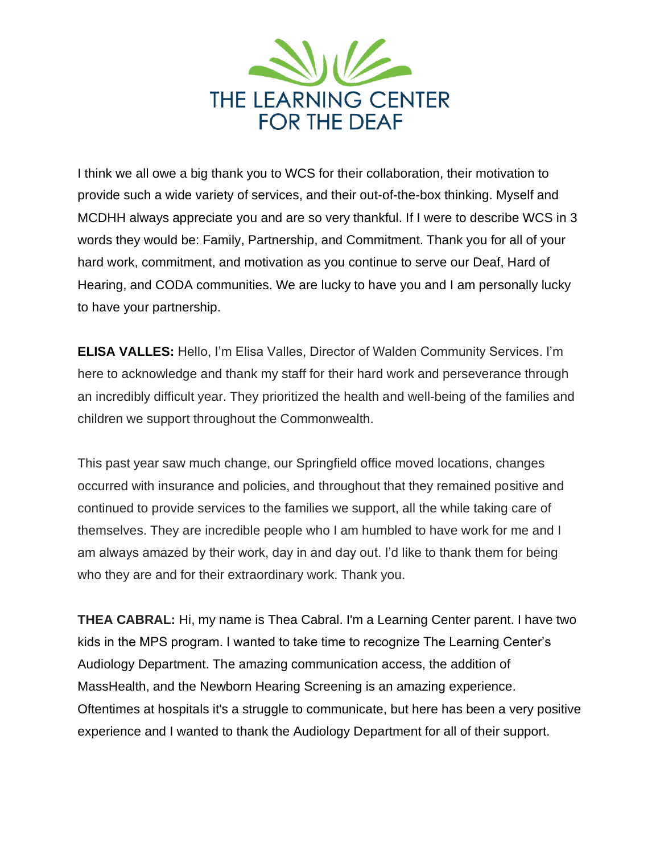

I think we all owe a big thank you to WCS for their collaboration, their motivation to provide such a wide variety of services, and their out-of-the-box thinking. Myself and MCDHH always appreciate you and are so very thankful. If I were to describe WCS in 3 words they would be: Family, Partnership, and Commitment. Thank you for all of your hard work, commitment, and motivation as you continue to serve our Deaf, Hard of Hearing, and CODA communities. We are lucky to have you and I am personally lucky to have your partnership.

**ELISA VALLES:** Hello, I'm Elisa Valles, Director of Walden Community Services. I'm here to acknowledge and thank my staff for their hard work and perseverance through an incredibly difficult year. They prioritized the health and well-being of the families and children we support throughout the Commonwealth.

This past year saw much change, our Springfield office moved locations, changes occurred with insurance and policies, and throughout that they remained positive and continued to provide services to the families we support, all the while taking care of themselves. They are incredible people who I am humbled to have work for me and I am always amazed by their work, day in and day out. I'd like to thank them for being who they are and for their extraordinary work. Thank you.

**THEA CABRAL:** Hi, my name is Thea Cabral. I'm a Learning Center parent. I have two kids in the MPS program. I wanted to take time to recognize The Learning Center's Audiology Department. The amazing communication access, the addition of MassHealth, and the Newborn Hearing Screening is an amazing experience. Oftentimes at hospitals it's a struggle to communicate, but here has been a very positive experience and I wanted to thank the Audiology Department for all of their support.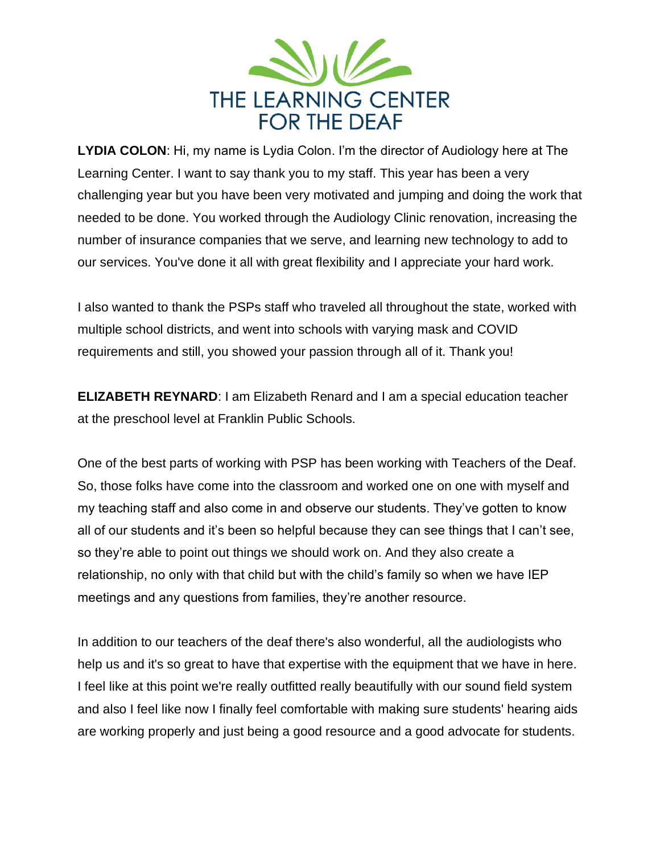

**LYDIA COLON**: Hi, my name is Lydia Colon. I'm the director of Audiology here at The Learning Center. I want to say thank you to my staff. This year has been a very challenging year but you have been very motivated and jumping and doing the work that needed to be done. You worked through the Audiology Clinic renovation, increasing the number of insurance companies that we serve, and learning new technology to add to our services. You've done it all with great flexibility and I appreciate your hard work.

I also wanted to thank the PSPs staff who traveled all throughout the state, worked with multiple school districts, and went into schools with varying mask and COVID requirements and still, you showed your passion through all of it. Thank you!

**ELIZABETH REYNARD**: I am Elizabeth Renard and I am a special education teacher at the preschool level at Franklin Public Schools.

One of the best parts of working with PSP has been working with Teachers of the Deaf. So, those folks have come into the classroom and worked one on one with myself and my teaching staff and also come in and observe our students. They've gotten to know all of our students and it's been so helpful because they can see things that I can't see, so they're able to point out things we should work on. And they also create a relationship, no only with that child but with the child's family so when we have IEP meetings and any questions from families, they're another resource.

In addition to our teachers of the deaf there's also wonderful, all the audiologists who help us and it's so great to have that expertise with the equipment that we have in here. I feel like at this point we're really outfitted really beautifully with our sound field system and also I feel like now I finally feel comfortable with making sure students' hearing aids are working properly and just being a good resource and a good advocate for students.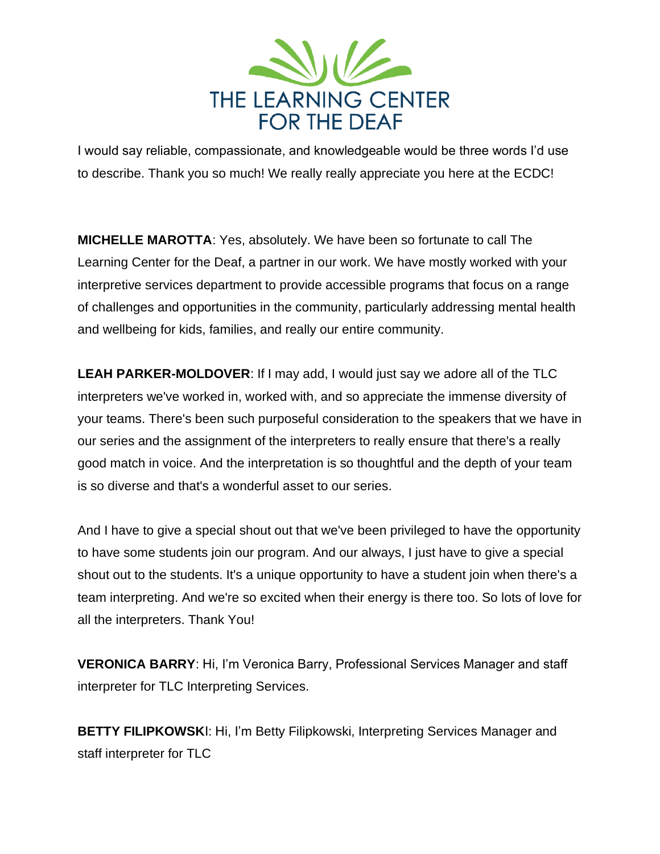

I would say reliable, compassionate, and knowledgeable would be three words I'd use to describe. Thank you so much! We really really appreciate you here at the ECDC!

**MICHELLE MAROTTA**: Yes, absolutely. We have been so fortunate to call The Learning Center for the Deaf, a partner in our work. We have mostly worked with your interpretive services department to provide accessible programs that focus on a range of challenges and opportunities in the community, particularly addressing mental health and wellbeing for kids, families, and really our entire community.

**LEAH PARKER-MOLDOVER**: If I may add, I would just say we adore all of the TLC interpreters we've worked in, worked with, and so appreciate the immense diversity of your teams. There's been such purposeful consideration to the speakers that we have in our series and the assignment of the interpreters to really ensure that there's a really good match in voice. And the interpretation is so thoughtful and the depth of your team is so diverse and that's a wonderful asset to our series.

And I have to give a special shout out that we've been privileged to have the opportunity to have some students join our program. And our always, I just have to give a special shout out to the students. It's a unique opportunity to have a student join when there's a team interpreting. And we're so excited when their energy is there too. So lots of love for all the interpreters. Thank You!

**VERONICA BARRY**: Hi, I'm Veronica Barry, Professional Services Manager and staff interpreter for TLC Interpreting Services.

**BETTY FILIPKOWSK**I: Hi, I'm Betty Filipkowski, Interpreting Services Manager and staff interpreter for TLC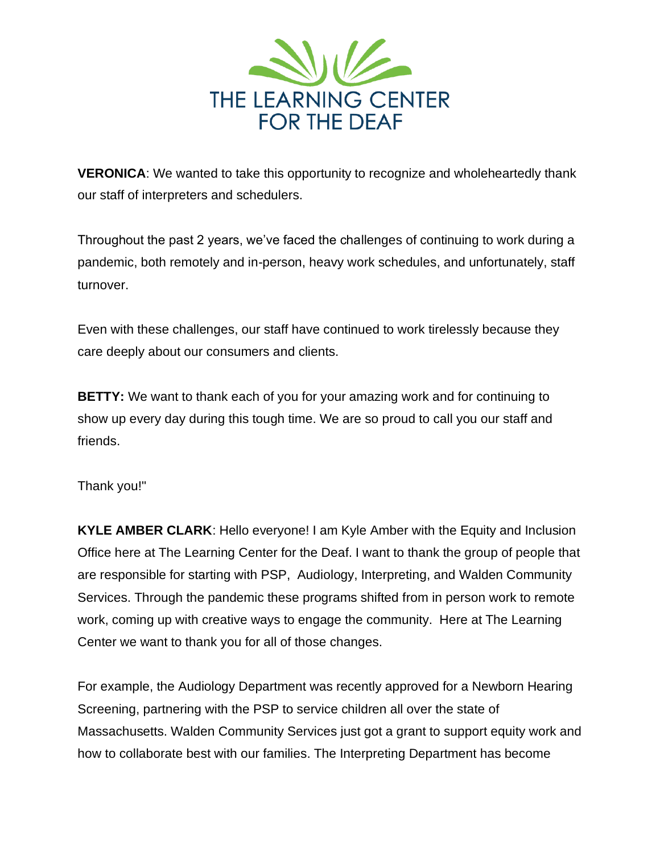

**VERONICA**: We wanted to take this opportunity to recognize and wholeheartedly thank our staff of interpreters and schedulers.

Throughout the past 2 years, we've faced the challenges of continuing to work during a pandemic, both remotely and in-person, heavy work schedules, and unfortunately, staff turnover.

Even with these challenges, our staff have continued to work tirelessly because they care deeply about our consumers and clients.

**BETTY:** We want to thank each of you for your amazing work and for continuing to show up every day during this tough time. We are so proud to call you our staff and friends.

Thank you!"

**KYLE AMBER CLARK**: Hello everyone! I am Kyle Amber with the Equity and Inclusion Office here at The Learning Center for the Deaf. I want to thank the group of people that are responsible for starting with PSP, Audiology, Interpreting, and Walden Community Services. Through the pandemic these programs shifted from in person work to remote work, coming up with creative ways to engage the community. Here at The Learning Center we want to thank you for all of those changes.

For example, the Audiology Department was recently approved for a Newborn Hearing Screening, partnering with the PSP to service children all over the state of Massachusetts. Walden Community Services just got a grant to support equity work and how to collaborate best with our families. The Interpreting Department has become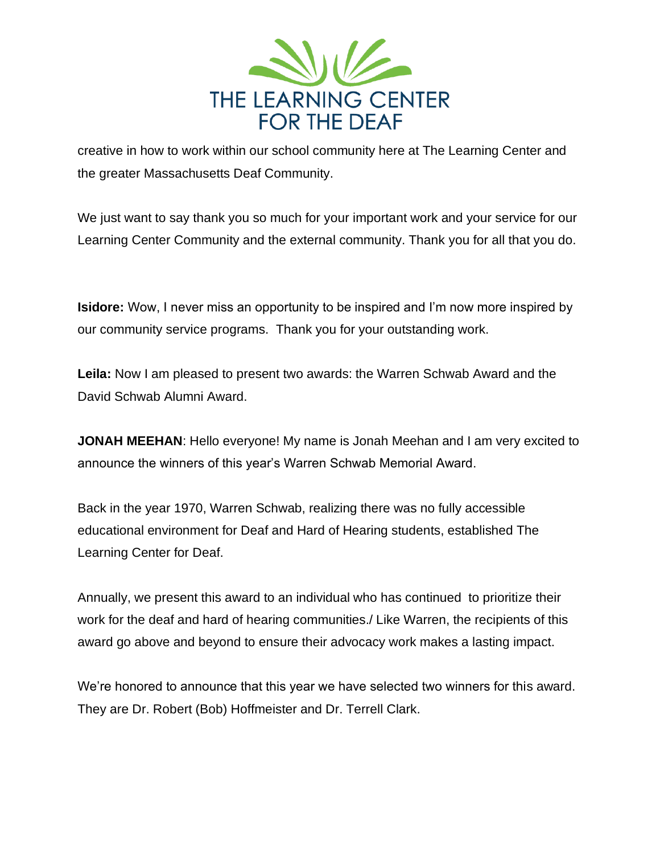

creative in how to work within our school community here at The Learning Center and the greater Massachusetts Deaf Community.

We just want to say thank you so much for your important work and your service for our Learning Center Community and the external community. Thank you for all that you do.

**Isidore:** Wow, I never miss an opportunity to be inspired and I'm now more inspired by our community service programs. Thank you for your outstanding work.

**Leila:** Now I am pleased to present two awards: the Warren Schwab Award and the David Schwab Alumni Award.

**JONAH MEEHAN:** Hello everyone! My name is Jonah Meehan and I am very excited to announce the winners of this year's Warren Schwab Memorial Award.

Back in the year 1970, Warren Schwab, realizing there was no fully accessible educational environment for Deaf and Hard of Hearing students, established The Learning Center for Deaf.

Annually, we present this award to an individual who has continued to prioritize their work for the deaf and hard of hearing communities./ Like Warren, the recipients of this award go above and beyond to ensure their advocacy work makes a lasting impact.

We're honored to announce that this year we have selected two winners for this award. They are Dr. Robert (Bob) Hoffmeister and Dr. Terrell Clark.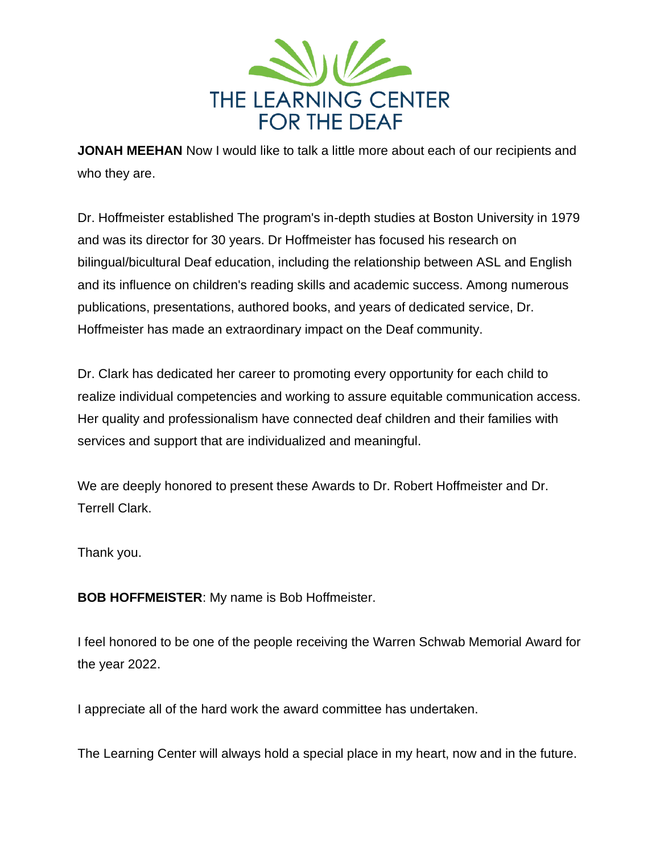

**JONAH MEEHAN** Now I would like to talk a little more about each of our recipients and who they are.

Dr. Hoffmeister established The program's in-depth studies at Boston University in 1979 and was its director for 30 years. Dr Hoffmeister has focused his research on bilingual/bicultural Deaf education, including the relationship between ASL and English and its influence on children's reading skills and academic success. Among numerous publications, presentations, authored books, and years of dedicated service, Dr. Hoffmeister has made an extraordinary impact on the Deaf community.

Dr. Clark has dedicated her career to promoting every opportunity for each child to realize individual competencies and working to assure equitable communication access. Her quality and professionalism have connected deaf children and their families with services and support that are individualized and meaningful.

We are deeply honored to present these Awards to Dr. Robert Hoffmeister and Dr. Terrell Clark.

Thank you.

**BOB HOFFMEISTER**: My name is Bob Hoffmeister.

I feel honored to be one of the people receiving the Warren Schwab Memorial Award for the year 2022.

I appreciate all of the hard work the award committee has undertaken.

The Learning Center will always hold a special place in my heart, now and in the future.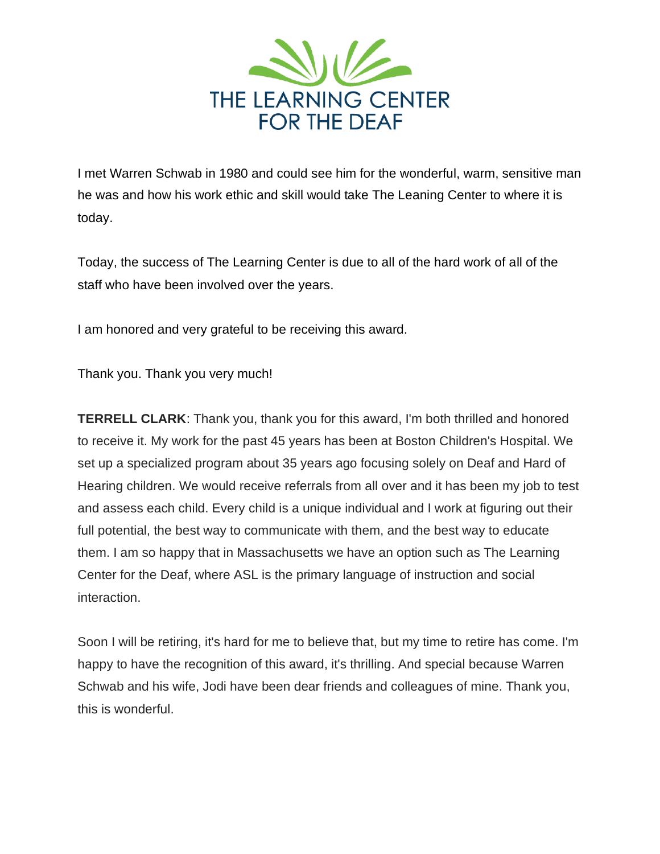

I met Warren Schwab in 1980 and could see him for the wonderful, warm, sensitive man he was and how his work ethic and skill would take The Leaning Center to where it is today.

Today, the success of The Learning Center is due to all of the hard work of all of the staff who have been involved over the years.

I am honored and very grateful to be receiving this award.

Thank you. Thank you very much!

**TERRELL CLARK**: Thank you, thank you for this award, I'm both thrilled and honored to receive it. My work for the past 45 years has been at Boston Children's Hospital. We set up a specialized program about 35 years ago focusing solely on Deaf and Hard of Hearing children. We would receive referrals from all over and it has been my job to test and assess each child. Every child is a unique individual and I work at figuring out their full potential, the best way to communicate with them, and the best way to educate them. I am so happy that in Massachusetts we have an option such as The Learning Center for the Deaf, where ASL is the primary language of instruction and social interaction.

Soon I will be retiring, it's hard for me to believe that, but my time to retire has come. I'm happy to have the recognition of this award, it's thrilling. And special because Warren Schwab and his wife, Jodi have been dear friends and colleagues of mine. Thank you, this is wonderful.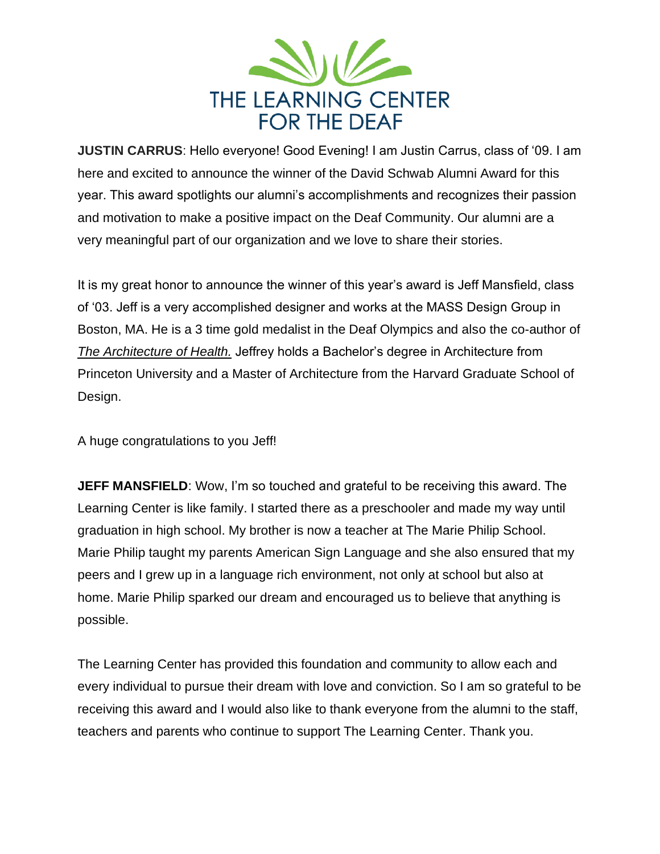

**JUSTIN CARRUS**: Hello everyone! Good Evening! I am Justin Carrus, class of '09. I am here and excited to announce the winner of the David Schwab Alumni Award for this year. This award spotlights our alumni's accomplishments and recognizes their passion and motivation to make a positive impact on the Deaf Community. Our alumni are a very meaningful part of our organization and we love to share their stories.

It is my great honor to announce the winner of this year's award is Jeff Mansfield, class of '03. Jeff is a very accomplished designer and works at the MASS Design Group in Boston, MA. He is a 3 time gold medalist in the Deaf Olympics and also the co-author of *The Architecture of Health.* Jeffrey holds a Bachelor's degree in Architecture from Princeton University and a Master of Architecture from the Harvard Graduate School of Design.

A huge congratulations to you Jeff!

**JEFF MANSFIELD:** Wow, I'm so touched and grateful to be receiving this award. The Learning Center is like family. I started there as a preschooler and made my way until graduation in high school. My brother is now a teacher at The Marie Philip School. Marie Philip taught my parents American Sign Language and she also ensured that my peers and I grew up in a language rich environment, not only at school but also at home. Marie Philip sparked our dream and encouraged us to believe that anything is possible.

The Learning Center has provided this foundation and community to allow each and every individual to pursue their dream with love and conviction. So I am so grateful to be receiving this award and I would also like to thank everyone from the alumni to the staff, teachers and parents who continue to support The Learning Center. Thank you.